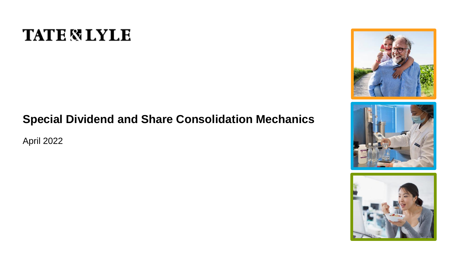# **TATE & LYLE**

# **Special Dividend and Share Consolidation Mechanics**

April 2022





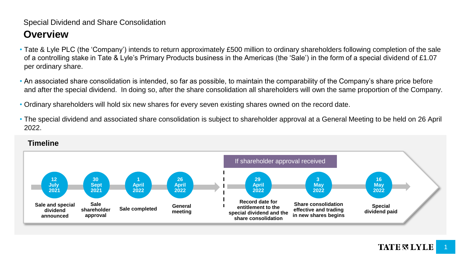#### Special Dividend and Share Consolidation

# **Overview**

- Tate & Lyle PLC (the 'Company') intends to return approximately £500 million to ordinary shareholders following completion of the sale of a controlling stake in Tate & Lyle's Primary Products business in the Americas (the 'Sale') in the form of a special dividend of £1.07 per ordinary share.
- An associated share consolidation is intended, so far as possible, to maintain the comparability of the Company's share price before and after the special dividend. In doing so, after the share consolidation all shareholders will own the same proportion of the Company.
- Ordinary shareholders will hold six new shares for every seven existing shares owned on the record date.
- The special dividend and associated share consolidation is subject to shareholder approval at a General Meeting to be held on 26 April 2022.



#### **Timeline**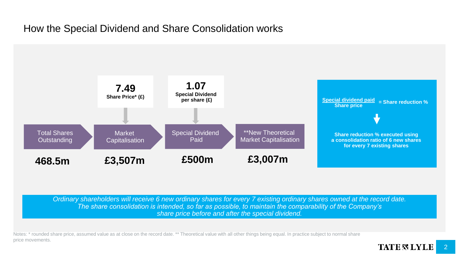# How the Special Dividend and Share Consolidation works



*Ordinary shareholders will receive 6 new ordinary shares for every 7 existing ordinary shares owned at the record date. The share consolidation is intended, so far as possible, to maintain the comparability of the Company's share price before and after the special dividend.*

Notes: \* rounded share price, assumed value as at close on the record date. \*\* Theoretical value with all other things being equal. In practice subject to normal share price movements.

**TATE & LYLE** 2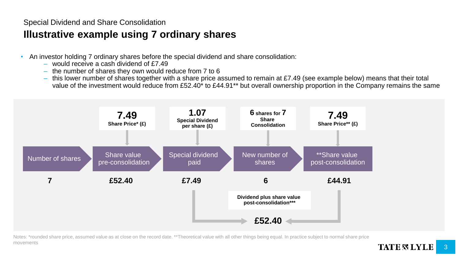#### Special Dividend and Share Consolidation

## **Illustrative example using 7 ordinary shares**

- An investor holding 7 ordinary shares before the special dividend and share consolidation:
	- would receive a cash dividend of £7.49
	- the number of shares they own would reduce from 7 to 6
	- this lower number of shares together with a share price assumed to remain at £7.49 (see example below) means that their total value of the investment would reduce from £52.40\* to £44.91\*\* but overall ownership proportion in the Company remains the same



Notes: \*rounded share price, assumed value as at close on the record date. \*\*Theoretical value with all other things being equal. In practice subject to normal share price movements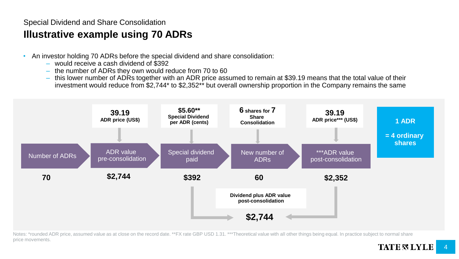### Special Dividend and Share Consolidation

# **Illustrative example using 70 ADRs**

- An investor holding 70 ADRs before the special dividend and share consolidation:
	- would receive a cash dividend of \$392
	- the number of ADRs they own would reduce from 70 to 60
	- this lower number of ADRs together with an ADR price assumed to remain at \$39.19 means that the total value of their investment would reduce from \$2,744\* to \$2,352\*\* but overall ownership proportion in the Company remains the same



Notes: \*rounded ADR price, assumed value as at close on the record date. \*\*FX rate GBP USD 1.31. \*\*\*Theoretical value with all other things being equal. In practice subject to normal share price movements.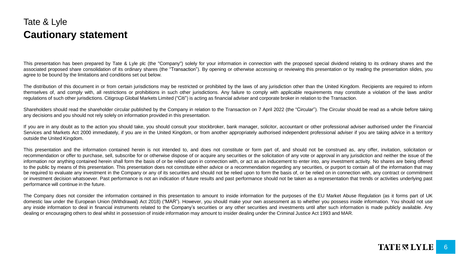# Tate & Lyle **Cautionary statement**

This presentation has been prepared by Tate & Lyle plc (the "Company") solely for your information in connection with the proposed special dividend relating to its ordinary shares and the associated proposed share consolidation of its ordinary shares (the "Transaction"). By opening or otherwise accessing or reviewing this presentation or by reading the presentation slides, you agree to be bound by the limitations and conditions set out below.

The distribution of this document in or from certain jurisdictions may be restricted or prohibited by the laws of any jurisdiction other than the United Kingdom. Recipients are required to inform themselves of, and comply with, all restrictions or prohibitions in such other jurisdictions. Any failure to comply with applicable requirements may constitute a violation of the laws and/or regulations of such other jurisdictions. Citigroup Global Markets Limited ("Citi") is acting as financial adviser and corporate broker in relation to the Transaction.

Shareholders should read the shareholder circular published by the Company in relation to the Transaction on 7 April 2022 (the "Circular"). The Circular should be read as a whole before taking any decisions and you should not rely solely on information provided in this presentation.

If you are in any doubt as to the action you should take, you should consult your stockbroker, bank manager, solicitor, accountant or other professional adviser authorised under the Financial Services and Markets Act 2000 immediately, if you are in the United Kingdom, or from another appropriately authorised independent professional adviser if you are taking advice in a territory outside the United Kingdom.

This presentation and the information contained herein is not intended to, and does not constitute or form part of, and should not be construed as, any offer, invitation, solicitation or recommendation or offer to purchase, sell, subscribe for or otherwise dispose of or acquire any securities or the solicitation of any vote or approval in any jurisdiction and neither the issue of the information nor anything contained herein shall form the basis of or be relied upon in connection with, or act as an inducement to enter into, any investment activity. No shares are being offered to the public by means of this presentation. This presentation does not constitute either advice or a recommendation regarding any securities, or purport to contain all of the information that may be required to evaluate any investment in the Company or any of its securities and should not be relied upon to form the basis of, or be relied on in connection with, any contract or commitment or investment decision whatsoever. Past performance is not an indication of future results and past performance should not be taken as a representation that trends or activities underlying past performance will continue in the future.

The Company does not consider the information contained in this presentation to amount to inside information for the purposes of the EU Market Abuse Regulation (as it forms part of UK domestic law under the European Union (Withdrawal) Act 2018) ("MAR"). However, you should make your own assessment as to whether you possess inside information. You should not use any inside information to deal in financial instruments related to the Company's securities or any other securities and investments until after such information is made publicly available. Any dealing or encouraging others to deal whilst in possession of inside information may amount to insider dealing under the Criminal Justice Act 1993 and MAR.